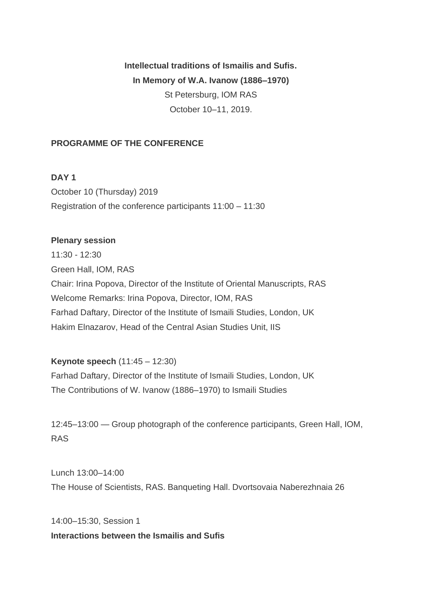**Intellectual traditions of Ismailis and Sufis. In Memory of W.A. Ivanow (1886–1970)** St Petersburg, IOM RAS October 10–11, 2019.

# **PROGRAMME OF THE CONFERENCE**

#### **DAY 1**

October 10 (Thursday) 2019 Registration of the conference participants 11:00 – 11:30

#### **Plenary session**

11:30 - 12:30 Green Hall, IOM, RAS Chair: Irina Popova, Director of the Institute of Oriental Manuscripts, RAS Welcome Remarks: Irina Popova, Director, IOM, RAS Farhad Daftary, Director of the Institute of Ismaili Studies, London, UK Hakim Elnazarov, Head of the Central Asian Studies Unit, IIS

**Keynote speech** (11:45 – 12:30) Farhad Daftary, Director of the Institute of Ismaili Studies, London, UK The Contributions of W. Ivanow (1886–1970) to Ismaili Studies

12:45–13:00 — Group photograph of the conference participants, Green Hall, IOM, RAS

Lunch 13:00–14:00 The House of Scientists, RAS. Banqueting Hall. Dvortsovaia Naberezhnaia 26

14:00–15:30, Session 1 **Interactions between the Ismailis and Sufis**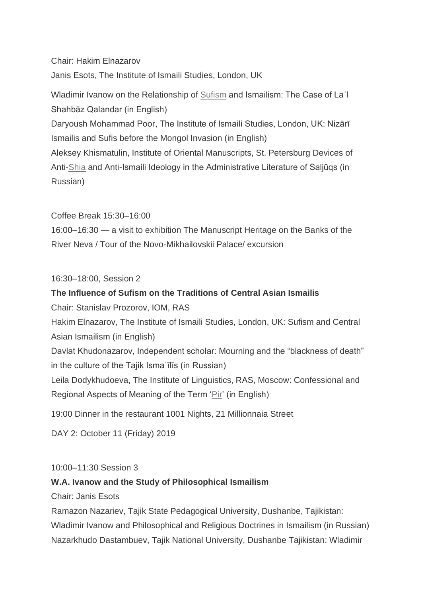Chair: Hakim Elnazarov

Janis Esots, The Institute of Ismaili Studies, London, UK

Wladimir Ivanow on the Relationship of [Sufism](https://www.iis.ac.uk/taxonomy/term/23581) and Ismailism: The Case of Laʿl Shahbāz Qalandar (in English)

Daryoush Mohammad Poor, The Institute of Ismaili Studies, London, UK: Nizārī Ismailis and Sufis before the Mongol Invasion (in English)

Aleksey Khismatulin, Institute of Oriental Manuscripts, St. Petersburg Devices of Anti[-Shia](https://www.iis.ac.uk/taxonomy/term/23621) and Anti-Ismaili Ideology in the Administrative Literature of Saljūqs (in Russian)

Coffee Break 15:30–16:00

16:00–16:30 — a visit to exhibition The Manuscript Heritage on the Banks of the River Neva / Tour of the Novo-Mikhailovskii Palace/ excursion

16:30–18:00, Session 2

# **The Influence of Sufism on the Traditions of Central Asian Ismailis**

Chair: Stanislav Prozorov, IOM, RAS

Hakim Elnazarov, The Institute of Ismaili Studies, London, UK: Sufism and Central Asian Ismailism (in English)

Davlat Khudonazarov, Independent scholar: Mourning and the "blackness of death" in the culture of the Tajik Ismaʿīlīs (in Russian)

Leila Dodykhudoeva, The Institute of Linguistics, RAS, Moscow: Confessional and Regional Aspects of Meaning of the Term ['Pir'](https://www.iis.ac.uk/taxonomy/term/23936) (in English)

19:00 Dinner in the restaurant 1001 Nights, 21 Millionnaia Street

DAY 2: October 11 (Friday) 2019

# 10:00–11:30 Session 3

# **W.A. Ivanow and the Study of Philosophical Ismailism**

Chair: Janis Esots

Ramazon Nazariev, Tajik State Pedagogical University, Dushanbe, Tajikistan: Wladimir Ivanow and Philosophical and Religious Doctrines in Ismailism (in Russian) Nazarkhudo Dastambuev, Tajik National University, Dushanbe Tajikistan: Wladimir